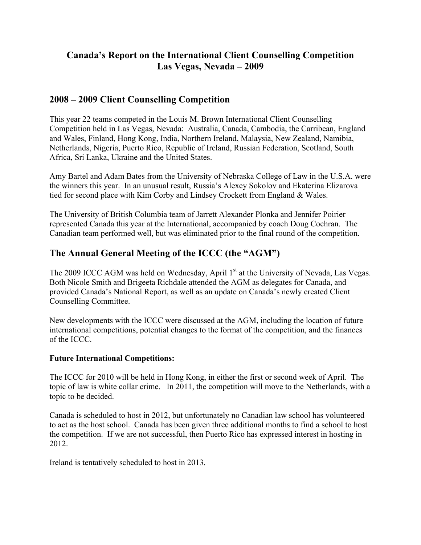# **Canada's Report on the International Client Counselling Competition Las Vegas, Nevada – 2009**

## **2008 – 2009 Client Counselling Competition**

This year 22 teams competed in the Louis M. Brown International Client Counselling Competition held in Las Vegas, Nevada: Australia, Canada, Cambodia, the Carribean, England and Wales, Finland, Hong Kong, India, Northern Ireland, Malaysia, New Zealand, Namibia, Netherlands, Nigeria, Puerto Rico, Republic of Ireland, Russian Federation, Scotland, South Africa, Sri Lanka, Ukraine and the United States.

Amy Bartel and Adam Bates from the University of Nebraska College of Law in the U.S.A. were the winners this year. In an unusual result, Russia's Alexey Sokolov and Ekaterina Elizarova tied for second place with Kim Corby and Lindsey Crockett from England & Wales.

The University of British Columbia team of Jarrett Alexander Plonka and Jennifer Poirier represented Canada this year at the International, accompanied by coach Doug Cochran. The Canadian team performed well, but was eliminated prior to the final round of the competition.

# **The Annual General Meeting of the ICCC (the "AGM")**

The 2009 ICCC AGM was held on Wednesday, April 1<sup>st</sup> at the University of Nevada, Las Vegas. Both Nicole Smith and Brigeeta Richdale attended the AGM as delegates for Canada, and provided Canada's National Report, as well as an update on Canada's newly created Client Counselling Committee.

New developments with the ICCC were discussed at the AGM, including the location of future international competitions, potential changes to the format of the competition, and the finances of the ICCC.

### **Future International Competitions:**

The ICCC for 2010 will be held in Hong Kong, in either the first or second week of April. The topic of law is white collar crime. In 2011, the competition will move to the Netherlands, with a topic to be decided.

Canada is scheduled to host in 2012, but unfortunately no Canadian law school has volunteered to act as the host school. Canada has been given three additional months to find a school to host the competition. If we are not successful, then Puerto Rico has expressed interest in hosting in 2012.

Ireland is tentatively scheduled to host in 2013.